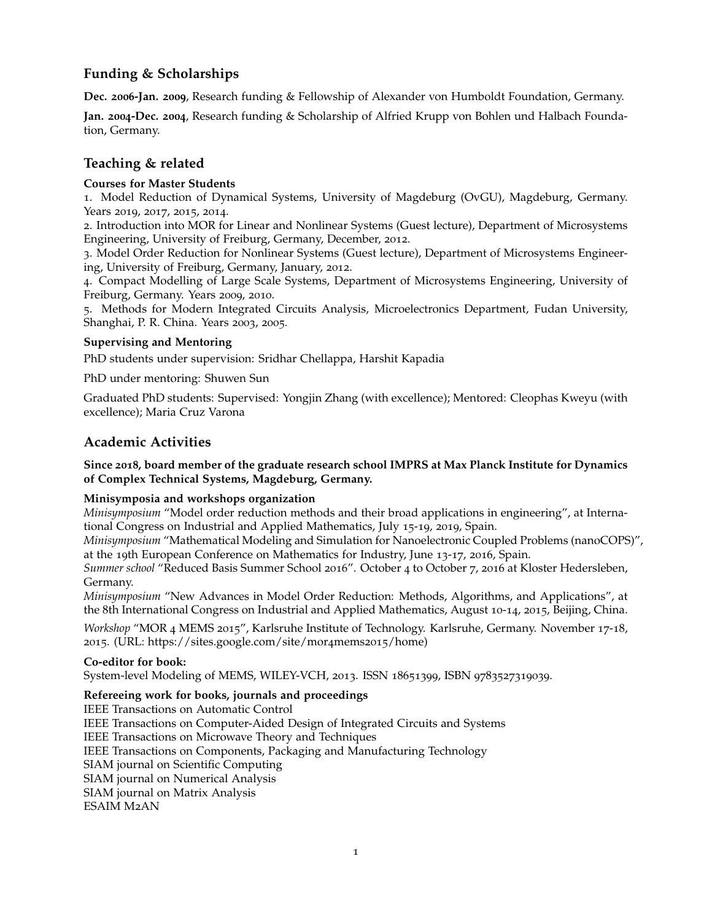## **Funding & Scholarships**

**Dec. 2006-Jan. 2009**, Research funding & Fellowship of Alexander von Humboldt Foundation, Germany.

**Jan. 2004-Dec. 2004**, Research funding & Scholarship of Alfried Krupp von Bohlen und Halbach Foundation, Germany.

# **Teaching & related**

#### **Courses for Master Students**

1. Model Reduction of Dynamical Systems, University of Magdeburg (OvGU), Magdeburg, Germany. Years 2019, 2017, 2015, 2014.

2. Introduction into MOR for Linear and Nonlinear Systems (Guest lecture), Department of Microsystems Engineering, University of Freiburg, Germany, December, 2012.

3. Model Order Reduction for Nonlinear Systems (Guest lecture), Department of Microsystems Engineering, University of Freiburg, Germany, January, 2012.

4. Compact Modelling of Large Scale Systems, Department of Microsystems Engineering, University of Freiburg, Germany. Years 2009, 2010.

5. Methods for Modern Integrated Circuits Analysis, Microelectronics Department, Fudan University, Shanghai, P. R. China. Years 2003, 2005.

#### **Supervising and Mentoring**

PhD students under supervision: Sridhar Chellappa, Harshit Kapadia

PhD under mentoring: Shuwen Sun

Graduated PhD students: Supervised: Yongjin Zhang (with excellence); Mentored: Cleophas Kweyu (with excellence); Maria Cruz Varona

### **Academic Activities**

#### **Since 2018, board member of the graduate research school IMPRS at Max Planck Institute for Dynamics of Complex Technical Systems, Magdeburg, Germany.**

#### **Minisymposia and workshops organization**

*Minisymposium* "Model order reduction methods and their broad applications in engineering", at International Congress on Industrial and Applied Mathematics, July 15-19, 2019, Spain.

*Minisymposium* "Mathematical Modeling and Simulation for Nanoelectronic Coupled Problems (nanoCOPS)", at the 19th European Conference on Mathematics for Industry, June 13-17, 2016, Spain.

*Summer school* "Reduced Basis Summer School 2016". October 4 to October 7, 2016 at Kloster Hedersleben, Germany.

*Minisymposium* "New Advances in Model Order Reduction: Methods, Algorithms, and Applications", at the 8th International Congress on Industrial and Applied Mathematics, August 10-14, 2015, Beijing, China.

*Workshop* "MOR 4 MEMS 2015", Karlsruhe Institute of Technology. Karlsruhe, Germany. November 17-18, 2015. (URL: https://sites.google.com/site/mor4mems2015/home)

#### **Co-editor for book:**

System-level Modeling of MEMS, WILEY-VCH, 2013. ISSN 18651399, ISBN 9783527319039.

#### **Refereeing work for books, journals and proceedings**

IEEE Transactions on Automatic Control IEEE Transactions on Computer-Aided Design of Integrated Circuits and Systems IEEE Transactions on Microwave Theory and Techniques IEEE Transactions on Components, Packaging and Manufacturing Technology SIAM journal on Scientific Computing SIAM journal on Numerical Analysis SIAM journal on Matrix Analysis ESAIM M2AN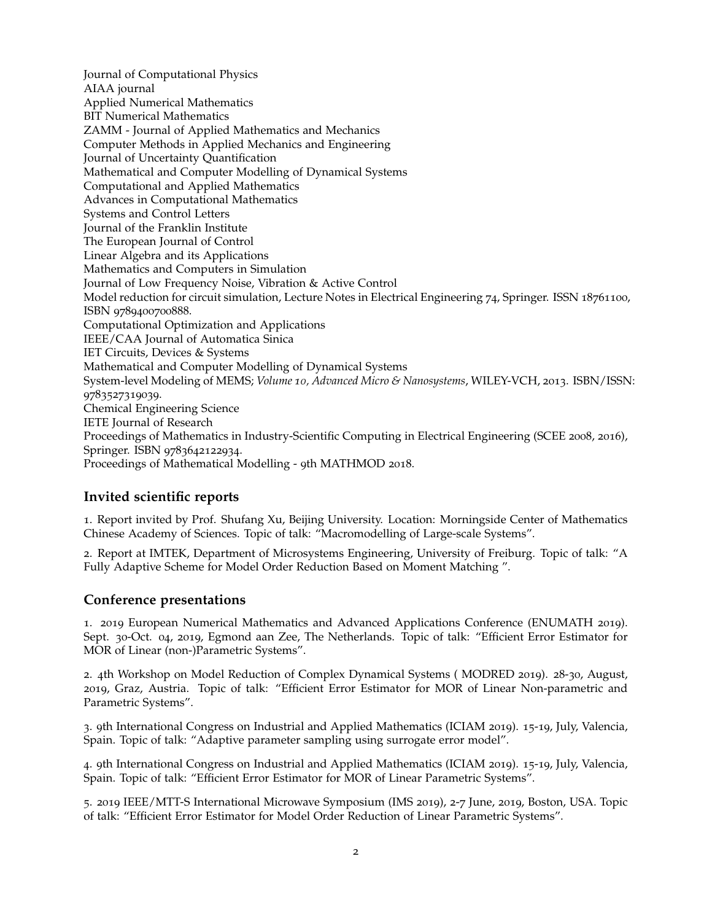Journal of Computational Physics AIAA journal Applied Numerical Mathematics BIT Numerical Mathematics ZAMM - Journal of Applied Mathematics and Mechanics Computer Methods in Applied Mechanics and Engineering Journal of Uncertainty Quantification Mathematical and Computer Modelling of Dynamical Systems Computational and Applied Mathematics Advances in Computational Mathematics Systems and Control Letters Journal of the Franklin Institute The European Journal of Control Linear Algebra and its Applications Mathematics and Computers in Simulation Journal of Low Frequency Noise, Vibration & Active Control Model reduction for circuit simulation, Lecture Notes in Electrical Engineering 74, Springer. ISSN 18761100, ISBN 9789400700888. Computational Optimization and Applications IEEE/CAA Journal of Automatica Sinica IET Circuits, Devices & Systems Mathematical and Computer Modelling of Dynamical Systems System-level Modeling of MEMS; *Volume 10, Advanced Micro & Nanosystems*, WILEY-VCH, 2013. ISBN/ISSN: 9783527319039. Chemical Engineering Science IETE Journal of Research Proceedings of Mathematics in Industry-Scientific Computing in Electrical Engineering (SCEE 2008, 2016), Springer. ISBN 9783642122934. Proceedings of Mathematical Modelling - 9th MATHMOD 2018.

### **Invited scientific reports**

1. Report invited by Prof. Shufang Xu, Beijing University. Location: Morningside Center of Mathematics Chinese Academy of Sciences. Topic of talk: "Macromodelling of Large-scale Systems".

2. Report at IMTEK, Department of Microsystems Engineering, University of Freiburg. Topic of talk: "A Fully Adaptive Scheme for Model Order Reduction Based on Moment Matching ".

#### **Conference presentations**

1. 2019 European Numerical Mathematics and Advanced Applications Conference (ENUMATH 2019). Sept. 30-Oct. 04, 2019, Egmond aan Zee, The Netherlands. Topic of talk: "Efficient Error Estimator for MOR of Linear (non-)Parametric Systems".

2. 4th Workshop on Model Reduction of Complex Dynamical Systems ( MODRED 2019). 28-30, August, 2019, Graz, Austria. Topic of talk: "Efficient Error Estimator for MOR of Linear Non-parametric and Parametric Systems".

3. 9th International Congress on Industrial and Applied Mathematics (ICIAM 2019). 15-19, July, Valencia, Spain. Topic of talk: "Adaptive parameter sampling using surrogate error model".

4. 9th International Congress on Industrial and Applied Mathematics (ICIAM 2019). 15-19, July, Valencia, Spain. Topic of talk: "Efficient Error Estimator for MOR of Linear Parametric Systems".

5. 2019 IEEE/MTT-S International Microwave Symposium (IMS 2019), 2-7 June, 2019, Boston, USA. Topic of talk: "Efficient Error Estimator for Model Order Reduction of Linear Parametric Systems".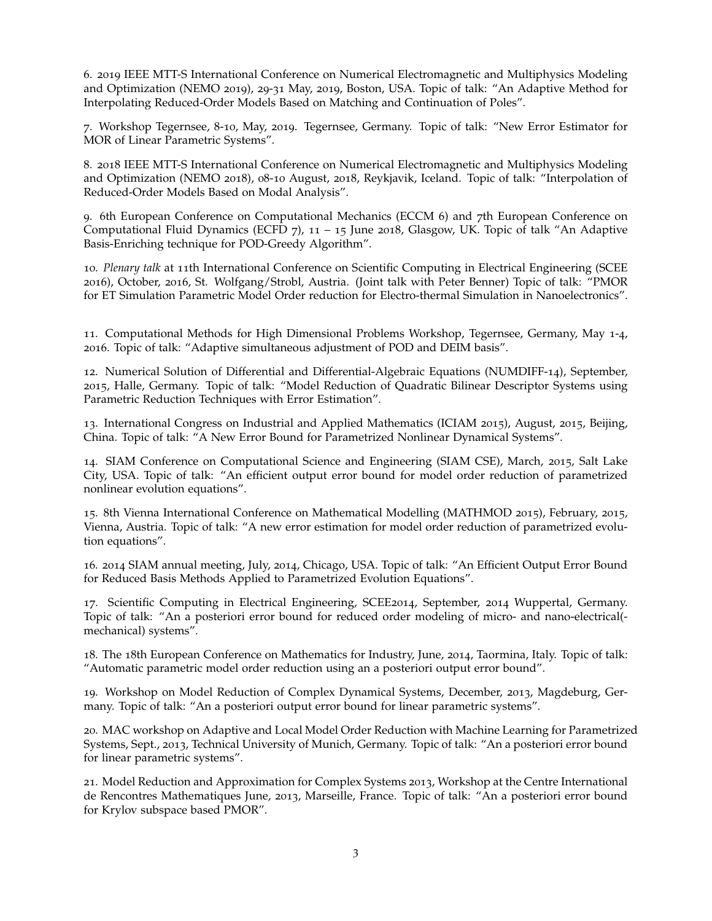6. 2019 IEEE MTT-S International Conference on Numerical Electromagnetic and Multiphysics Modeling and Optimization (NEMO 2019), 29-31 May, 2019, Boston, USA. Topic of talk: "An Adaptive Method for Interpolating Reduced-Order Models Based on Matching and Continuation of Poles".

7. Workshop Tegernsee, 8-10, May, 2019. Tegernsee, Germany. Topic of talk: "New Error Estimator for MOR of Linear Parametric Systems".

8. 2018 IEEE MTT-S International Conference on Numerical Electromagnetic and Multiphysics Modeling and Optimization (NEMO 2018), 08-10 August, 2018, Reykjavik, Iceland. Topic of talk: "Interpolation of Reduced-Order Models Based on Modal Analysis".

9. 6th European Conference on Computational Mechanics (ECCM 6) and 7th European Conference on Computational Fluid Dynamics (ECFD 7), 11 – 15 June 2018, Glasgow, UK. Topic of talk "An Adaptive Basis-Enriching technique for POD-Greedy Algorithm".

10. *Plenary talk* at 11th International Conference on Scientific Computing in Electrical Engineering (SCEE 2016), October, 2016, St. Wolfgang/Strobl, Austria. (Joint talk with Peter Benner) Topic of talk: "PMOR for ET Simulation Parametric Model Order reduction for Electro-thermal Simulation in Nanoelectronics".

11. Computational Methods for High Dimensional Problems Workshop, Tegernsee, Germany, May 1-4, 2016. Topic of talk: "Adaptive simultaneous adjustment of POD and DEIM basis".

12. Numerical Solution of Differential and Differential-Algebraic Equations (NUMDIFF-14), September, 2015, Halle, Germany. Topic of talk: "Model Reduction of Quadratic Bilinear Descriptor Systems using Parametric Reduction Techniques with Error Estimation".

13. International Congress on Industrial and Applied Mathematics (ICIAM 2015), August, 2015, Beijing, China. Topic of talk: "A New Error Bound for Parametrized Nonlinear Dynamical Systems".

14. SIAM Conference on Computational Science and Engineering (SIAM CSE), March, 2015, Salt Lake City, USA. Topic of talk: "An efficient output error bound for model order reduction of parametrized nonlinear evolution equations".

15. 8th Vienna International Conference on Mathematical Modelling (MATHMOD 2015), February, 2015, Vienna, Austria. Topic of talk: "A new error estimation for model order reduction of parametrized evolution equations".

16. 2014 SIAM annual meeting, July, 2014, Chicago, USA. Topic of talk: "An Efficient Output Error Bound for Reduced Basis Methods Applied to Parametrized Evolution Equations".

17. Scientific Computing in Electrical Engineering, SCEE2014, September, 2014 Wuppertal, Germany. Topic of talk: "An a posteriori error bound for reduced order modeling of micro- and nano-electrical( mechanical) systems".

18. The 18th European Conference on Mathematics for Industry, June, 2014, Taormina, Italy. Topic of talk: "Automatic parametric model order reduction using an a posteriori output error bound".

19. Workshop on Model Reduction of Complex Dynamical Systems, December, 2013, Magdeburg, Germany. Topic of talk: "An a posteriori output error bound for linear parametric systems".

20. MAC workshop on Adaptive and Local Model Order Reduction with Machine Learning for Parametrized Systems, Sept., 2013, Technical University of Munich, Germany. Topic of talk: "An a posteriori error bound for linear parametric systems".

21. Model Reduction and Approximation for Complex Systems 2013, Workshop at the Centre International de Rencontres Mathematiques June, 2013, Marseille, France. Topic of talk: "An a posteriori error bound for Krylov subspace based PMOR".